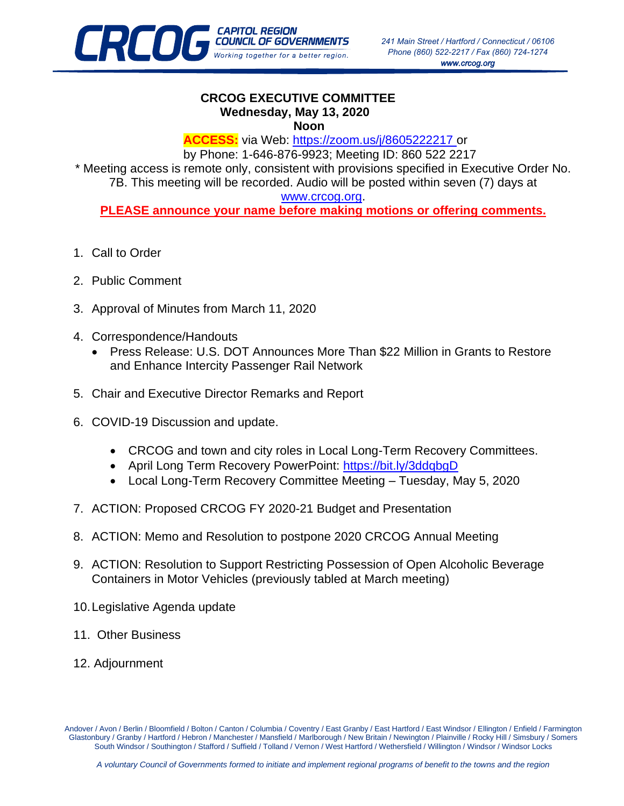

## **CRCOG EXECUTIVE COMMITTEE Wednesday, May 13, 2020 Noon**

**ACCESS:** via Web:<https://zoom.us/j/8605222217> or

by Phone: 1-646-876-9923; Meeting ID: 860 522 2217 \* Meeting access is remote only, consistent with provisions specified in Executive Order No. 7B. This meeting will be recorded. Audio will be posted within seven (7) days at

## [www.crcog.org.](http://www.crcog.org/)

**PLEASE announce your name before making motions or offering comments.** 

- 1. Call to Order
- 2. Public Comment
- 3. Approval of Minutes from March 11, 2020
- 4. Correspondence/Handouts
	- Press Release: U.S. DOT Announces More Than \$22 Million in Grants to Restore and Enhance Intercity Passenger Rail Network
- 5. Chair and Executive Director Remarks and Report
- 6. COVID-19 Discussion and update.
	- CRCOG and town and city roles in Local Long-Term Recovery Committees.
	- April Long Term Recovery PowerPoint: https://bit.ly/3ddqbqD
	- Local Long-Term Recovery Committee Meeting Tuesday, May 5, 2020
- 7. ACTION: Proposed CRCOG FY 2020-21 Budget and Presentation
- 8. ACTION: Memo and Resolution to postpone 2020 CRCOG Annual Meeting
- 9. ACTION: Resolution to Support Restricting Possession of Open Alcoholic Beverage Containers in Motor Vehicles (previously tabled at March meeting)
- 10.Legislative Agenda update
- 11. Other Business
- 12. Adjournment

Andover / Avon / Berlin / Bloomfield / Bolton / Canton / Columbia / Coventry / East Granby / East Hartford / East Windsor / Ellington / Enfield / Farmington Glastonbury / Granby / Hartford / Hebron / Manchester / Mansfield / Marlborough / New Britain / Newington / Plainville / Rocky Hill / Simsbury / Somers South Windsor / Southington / Stafford / Suffield / Tolland / Vernon / West Hartford / Wethersfield / Willington / Windsor / Windsor Locks